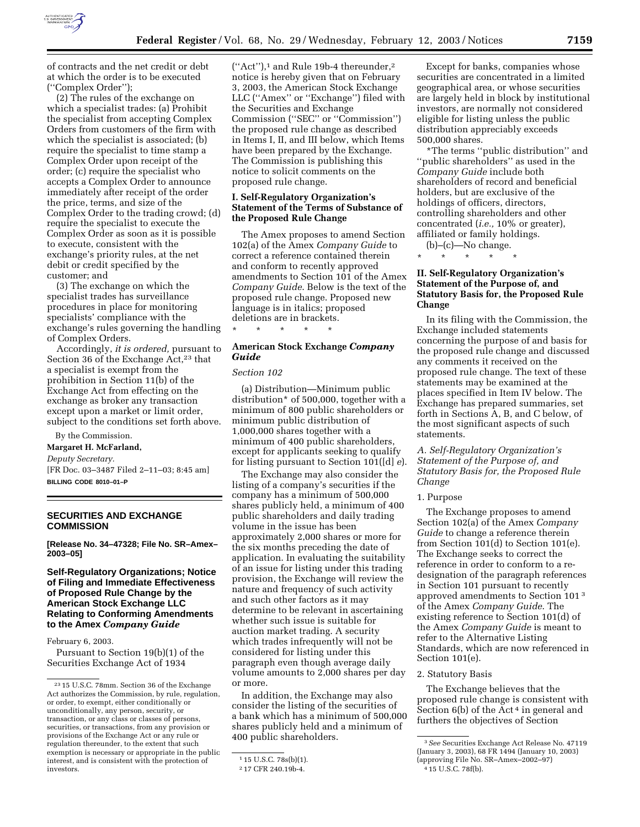

of contracts and the net credit or debt at which the order is to be executed (''Complex Order'');

(2) The rules of the exchange on which a specialist trades: (a) Prohibit the specialist from accepting Complex Orders from customers of the firm with which the specialist is associated; (b) require the specialist to time stamp a Complex Order upon receipt of the order; (c) require the specialist who accepts a Complex Order to announce immediately after receipt of the order the price, terms, and size of the Complex Order to the trading crowd; (d) require the specialist to execute the Complex Order as soon as it is possible to execute, consistent with the exchange's priority rules, at the net debit or credit specified by the customer; and

(3) The exchange on which the specialist trades has surveillance procedures in place for monitoring specialists' compliance with the exchange's rules governing the handling of Complex Orders.

Accordingly, *it is ordered,* pursuant to Section 36 of the Exchange Act,<sup>23</sup> that a specialist is exempt from the prohibition in Section 11(b) of the Exchange Act from effecting on the exchange as broker any transaction except upon a market or limit order, subject to the conditions set forth above.

By the Commission.

**Margaret H. McFarland,** 

*Deputy Secretary.*

[FR Doc. 03–3487 Filed 2–11–03; 8:45 am] **BILLING CODE 8010–01–P**

# **SECURITIES AND EXCHANGE COMMISSION**

**[Release No. 34–47328; File No. SR–Amex– 2003–05]** 

**Self-Regulatory Organizations; Notice of Filing and Immediate Effectiveness of Proposed Rule Change by the American Stock Exchange LLC Relating to Conforming Amendments to the Amex** *Company Guide*

February 6, 2003.

Pursuant to Section 19(b)(1) of the Securities Exchange Act of 1934

 $("Act")$ ,<sup>1</sup> and Rule 19b-4 thereunder,<sup>2</sup> notice is hereby given that on February 3, 2003, the American Stock Exchange LLC (''Amex'' or ''Exchange'') filed with the Securities and Exchange Commission (''SEC'' or ''Commission'') the proposed rule change as described in Items I, II, and III below, which Items have been prepared by the Exchange. The Commission is publishing this notice to solicit comments on the proposed rule change.

### **I. Self-Regulatory Organization's Statement of the Terms of Substance of the Proposed Rule Change**

The Amex proposes to amend Section 102(a) of the Amex *Company Guide* to correct a reference contained therein and conform to recently approved amendments to Section 101 of the Amex *Company Guide*. Below is the text of the proposed rule change. Proposed new language is in italics; proposed deletions are in brackets.

# **American Stock Exchange** *Company Guide*

### *Section 102*

\* \* \* \* \*

(a) Distribution—Minimum public distribution\* of 500,000, together with a minimum of 800 public shareholders or minimum public distribution of 1,000,000 shares together with a minimum of 400 public shareholders, except for applicants seeking to qualify for listing pursuant to Section 101([d] *e*).

The Exchange may also consider the listing of a company's securities if the company has a minimum of 500,000 shares publicly held, a minimum of 400 public shareholders and daily trading volume in the issue has been approximately 2,000 shares or more for the six months preceding the date of application. In evaluating the suitability of an issue for listing under this trading provision, the Exchange will review the nature and frequency of such activity and such other factors as it may determine to be relevant in ascertaining whether such issue is suitable for auction market trading. A security which trades infrequently will not be considered for listing under this paragraph even though average daily volume amounts to 2,000 shares per day or more.

In addition, the Exchange may also consider the listing of the securities of a bank which has a minimum of 500,000 shares publicly held and a minimum of 400 public shareholders.

Except for banks, companies whose securities are concentrated in a limited geographical area, or whose securities are largely held in block by institutional investors, are normally not considered eligible for listing unless the public distribution appreciably exceeds 500,000 shares.

\*The terms ''public distribution'' and ''public shareholders'' as used in the *Company Guide* include both shareholders of record and beneficial holders, but are exclusive of the holdings of officers, directors, controlling shareholders and other concentrated (*i.e.,* 10% or greater), affiliated or family holdings.

 $(b)$ – $(c)$ –No change. \* \* \* \* \*

# **II. Self-Regulatory Organization's Statement of the Purpose of, and Statutory Basis for, the Proposed Rule Change**

In its filing with the Commission, the Exchange included statements concerning the purpose of and basis for the proposed rule change and discussed any comments it received on the proposed rule change. The text of these statements may be examined at the places specified in Item IV below. The Exchange has prepared summaries, set forth in Sections A, B, and C below, of the most significant aspects of such statements.

*A. Self-Regulatory Organization's Statement of the Purpose of, and Statutory Basis for, the Proposed Rule Change* 

# 1. Purpose

The Exchange proposes to amend Section 102(a) of the Amex *Company Guide* to change a reference therein from Section 101(d) to Section 101(e). The Exchange seeks to correct the reference in order to conform to a redesignation of the paragraph references in Section 101 pursuant to recently approved amendments to Section 101 3 of the Amex *Company Guide*. The existing reference to Section 101(d) of the Amex *Company Guide* is meant to refer to the Alternative Listing Standards, which are now referenced in Section 101(e).

#### 2. Statutory Basis

The Exchange believes that the proposed rule change is consistent with Section 6(b) of the Act<sup>4</sup> in general and furthers the objectives of Section

<sup>23</sup> 15 U.S.C. 78mm. Section 36 of the Exchange Act authorizes the Commission, by rule, regulation, or order, to exempt, either conditionally or unconditionally, any person, security, or transaction, or any class or classes of persons, securities, or transactions, from any provision or provisions of the Exchange Act or any rule or regulation thereunder, to the extent that such exemption is necessary or appropriate in the public interest, and is consistent with the protection of investors.

<sup>1</sup> 15 U.S.C. 78s(b)(1).

<sup>2</sup> 17 CFR 240.19b-4.

<sup>3</sup>*See* Securities Exchange Act Release No. 47119 (January 3, 2003), 68 FR 1494 (January 10, 2003) (approving File No. SR–Amex–2002–97)

<sup>4</sup> 15 U.S.C. 78f(b).